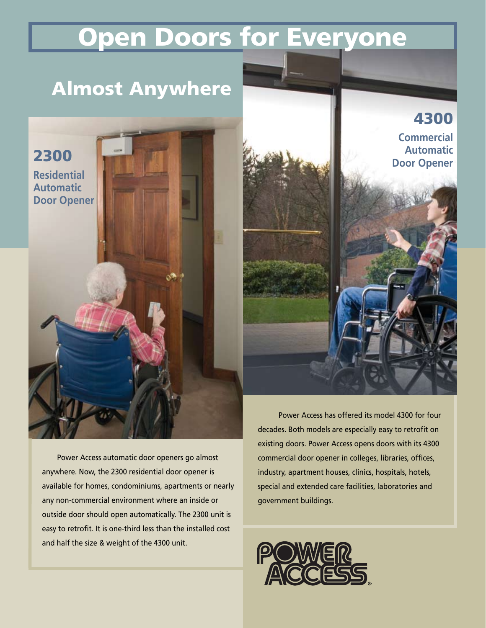# Open Doors for Everyone

## Almost Anywhere

2300

**Residential Automatic Door Opener** 4300

**Commercial Automatic Door Opener**

Power Access automatic door openers go almost anywhere. Now, the 2300 residential door opener is available for homes, condominiums, apartments or nearly any non-commercial environment where an inside or outside door should open automatically. The 2300 unit is easy to retrofit. It is one-third less than the installed cost and half the size & weight of the 4300 unit.

 Power Access has offered its model 4300 for four decades. Both models are especially easy to retrofit on existing doors. Power Access opens doors with its 4300 commercial door opener in colleges, libraries, offices, industry, apartment houses, clinics, hospitals, hotels, special and extended care facilities, laboratories and government buildings.

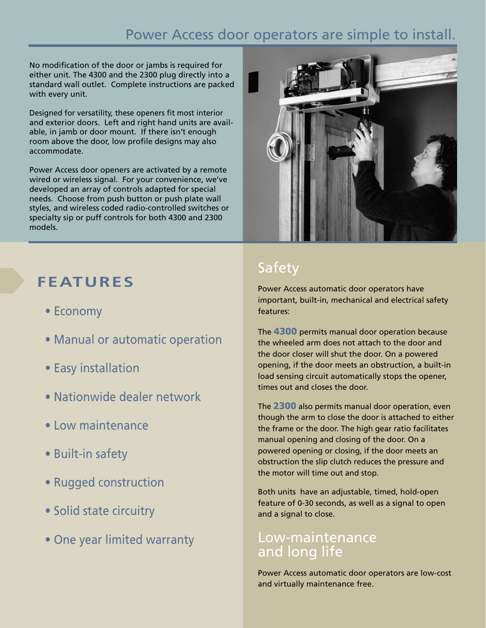### Power Access door operators are simple to install.

No modification of the door or jambs is required for either unit. The 4300 and the 2300 plug directly into a standard wall outlet. Complete instructions are packed with every unit.

Designed for versatility, these openers fit most interior and exterior doors. Left and right hand units are available, in jamb or door mount. If there isn't enough room above the door, low profile designs may also accommodate.

Power Access door openers are activated by a remote wired or wireless signal. For your convenience, we've developed an array of controls adapted for special needs. Choose from push button or push plate wall styles, and wireless coded radio-controlled switches or specialty sip or puff controls for both 4300 and 2300 models.



- Economy
- Manual or automatic operation
- Easy installation
- Nationwide dealer network
- Low maintenance
- Built-in safety
- Rugged construction
- Solid state circuitry
- One year limited warranty



### Safety

Power Access automatic door operators have important, built-in, mechanical and electrical safety features:

The 4300 permits manual door operation because the wheeled arm does not attach to the door and the door closer will shut the door. On a powered opening, if the door meets an obstruction, a built-in load sensing circuit automatically stops the opener, times out and closes the door.

The 2300 also permits manual door operation, even though the arm to close the door is attached to either the frame or the door. The high gear ratio facilitates manual opening and closing of the door. On a powered opening or closing, if the door meets an obstruction the slip clutch reduces the pressure and the motor will time out and stop.

Both units have an adjustable, timed, hold-open feature of 0-30 seconds, as well as a signal to open and a signal to close.

### Low-maintenance and long life

Power Access automatic door operators are low-cost and virtually maintenance free.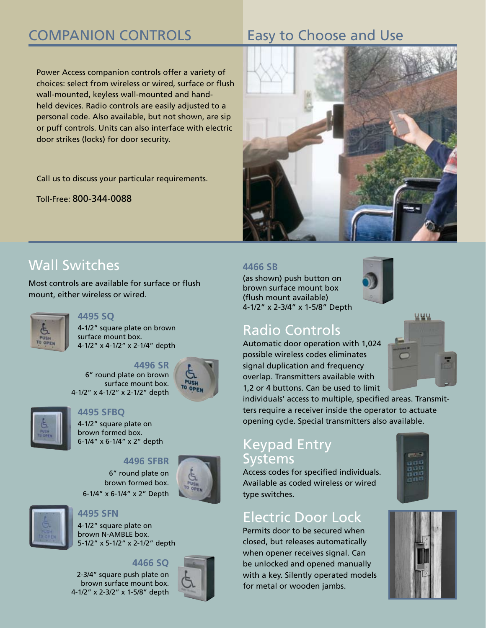## COMPANION CONTROLS Easy to Choose and Use

Power Access companion controls offer a variety of choices: select from wireless or wired, surface or flush wall-mounted, keyless wall-mounted and handheld devices. Radio controls are easily adjusted to a personal code. Also available, but not shown, are sip or puff controls. Units can also interface with electric door strikes (locks) for door security.

Call us to discuss your particular requirements.

Toll-Free: 800-344-0088

### Wall Switches

Most controls are available for surface or flush mount, either wireless or wired.



#### **4495 SQ**

4-1/2" square plate on brown surface mount box. 4-1/2" x 4-1/2" x 2-1/4" depth







### **4495 SFBQ**

4-1/2" square plate on brown formed box. 6-1/4" x 6-1/4" x 2" depth

#### **4496 SFBR**

 6" round plate on brown formed box. 6-1/4" x 6-1/4" x 2" Depth



### **4495 SFN**

4-1/2" square plate on brown N-AMBLE box. 5-1/2" x 5-1/2" x 2-1/2" depth

#### **4466 SQ**

2-3/4" square push plate on brown surface mount box. 4-1/2" x 2-3/2" x 1-5/8" depth





#### **4466 SB**

(as shown) push button on brown surface mount box (flush mount available) 4-1/2" x 2-3/4" x 1-5/8" Depth



### Radio Controls

Automatic door operation with 1,024 possible wireless codes eliminates signal duplication and frequency overlap. Transmitters available with 1,2 or 4 buttons. Can be used to limit

individuals' access to multiple, specified areas. Transmitters require a receiver inside the operator to actuate opening cycle. Special transmitters also available.

### Keypad Entry Systems

Access codes for specified individuals. Available as coded wireless or wired type switches.

### Electric Door Lock

Permits door to be secured when closed, but releases automatically when opener receives signal. Can be unlocked and opened manually with a key. Silently operated models for metal or wooden jambs.